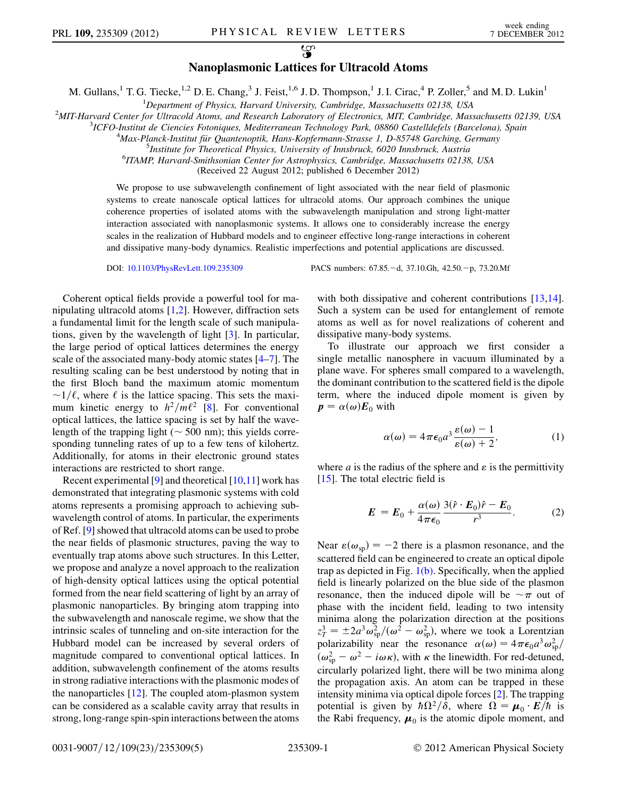$\mathcal{L}$ 

## Nanoplasmonic Lattices for Ultracold Atoms

M. Gullans,<sup>1</sup> T. G. Tiecke,<sup>1,2</sup> D. E. Chang,<sup>3</sup> J. Feist,<sup>1,6</sup> J. D. Thompson,<sup>1</sup> J. I. Cirac,<sup>4</sup> P. Zoller,<sup>5</sup> and M. D. Lukin<sup>1</sup>

<sup>1</sup>Department of Physics, Harvard University, Cambridge, Massachusetts 02138, USA<br><sup>2</sup>MIT Harvard Cantar for Ultracold Atoms, and Bassarch Laboratory of Electronics MIT Cambridge, Mas

<sup>2</sup>MIT-Harvard Center for Ultracold Atoms, and Research Laboratory of Electronics, MIT, Cambridge, Massachusetts 02139, USA

<sup>3</sup>ICFO-Institut de Ciencies Fotoniques, Mediterranean Technology Park, 08860 Castelldefels (Barcelona), Spain

 $^{4}$ Max-Planck-Institut für Quantenoptik, Hans-Kopfermann-Strasse 1, D-85748 Garching, Germany

<sup>5</sup>Institute for Theoretical Physics, University of Innsbruck, 6020 Innsbruck, Austria

<sup>6</sup>ITAMP, Harvard-Smithsonian Center for Astrophysics, Cambridge, Massachusetts 02138, USA

(Received 22 August 2012; published 6 December 2012)

We propose to use subwavelength confinement of light associated with the near field of plasmonic systems to create nanoscale optical lattices for ultracold atoms. Our approach combines the unique coherence properties of isolated atoms with the subwavelength manipulation and strong light-matter interaction associated with nanoplasmonic systems. It allows one to considerably increase the energy scales in the realization of Hubbard models and to engineer effective long-range interactions in coherent and dissipative many-body dynamics. Realistic imperfections and potential applications are discussed.

Coherent optical fields provide a powerful tool for manipulating ultracold atoms  $[1,2]$  $[1,2]$  $[1,2]$ . However, diffraction sets a fundamental limit for the length scale of such manipulations, given by the wavelength of light [[3](#page-4-2)]. In particular, the large period of optical lattices determines the energy scale of the associated many-body atomic states [[4–](#page-4-3)[7](#page-4-4)]. The resulting scaling can be best understood by noting that in the first Bloch band the maximum atomic momentum mum kinetic energy to  $h^2/m\ell^2$  [\[8\]](#page-4-5). For conventional  $\sim$ 1/ $\ell$ , where  $\ell$  is the lattice spacing. This sets the maxioptical lattices, the lattice spacing is set by half the wavelength of the trapping light ( $\sim$  500 nm); this yields corre-<br>sponding tunneling rates of up to a few tens of kilobertz sponding tunneling rates of up to a few tens of kilohertz. Additionally, for atoms in their electronic ground states interactions are restricted to short range.

Recent experimental  $[9]$  $[9]$  and theoretical  $[10,11]$  $[10,11]$  $[10,11]$  $[10,11]$  $[10,11]$  work has demonstrated that integrating plasmonic systems with cold atoms represents a promising approach to achieving subwavelength control of atoms. In particular, the experiments of Ref. [[9\]](#page-4-6) showed that ultracold atoms can be used to probe the near fields of plasmonic structures, paving the way to eventually trap atoms above such structures. In this Letter, we propose and analyze a novel approach to the realization of high-density optical lattices using the optical potential formed from the near field scattering of light by an array of plasmonic nanoparticles. By bringing atom trapping into the subwavelength and nanoscale regime, we show that the intrinsic scales of tunneling and on-site interaction for the Hubbard model can be increased by several orders of magnitude compared to conventional optical lattices. In addition, subwavelength confinement of the atoms results in strong radiative interactions with the plasmonic modes of the nanoparticles [\[12\]](#page-4-9). The coupled atom-plasmon system can be considered as a scalable cavity array that results in strong, long-range spin-spin interactions between the atoms

DOI: [10.1103/PhysRevLett.109.235309](http://dx.doi.org/10.1103/PhysRevLett.109.235309) PACS numbers: 67.85. -d, 37.10.Gh, 42.50. -p, 73.20.Mf

with both dissipative and coherent contributions [\[13,](#page-4-10)[14\]](#page-4-11). Such a system can be used for entanglement of remote atoms as well as for novel realizations of coherent and dissipative many-body systems.

To illustrate our approach we first consider a single metallic nanosphere in vacuum illuminated by a plane wave. For spheres small compared to a wavelength, the dominant contribution to the scattered field is the dipole term, where the induced dipole moment is given by  $p = \alpha(\omega) E_0$  with

$$
\alpha(\omega) = 4\pi\epsilon_0 a^3 \frac{\varepsilon(\omega) - 1}{\varepsilon(\omega) + 2},\tag{1}
$$

<span id="page-0-0"></span>where *a* is the radius of the sphere and  $\varepsilon$  is the permittivity [\[15\]](#page-4-12). The total electric field is

$$
E = E_0 + \frac{\alpha(\omega)}{4\pi\epsilon_0} \frac{3(\hat{r} \cdot E_0)\hat{r} - E_0}{r^3}.
$$
 (2)

Near  $\varepsilon(\omega_{\rm sn}) = -2$  there is a plasmon resonance, and the scattered field can be engineered to create an optical dipole trap as depicted in Fig.  $1(b)$ . Specifically, when the applied field is linearly polarized on the blue side of the plasmon resonance, then the induced dipole will be  $\sim \pi$  out of the incident field leading to two intensity phase with the incident field, leading to two intensity minima along the polarization direction at the positions  $z_T^3 = \pm 2a^3 \omega_{sp}^2/(\omega^2 - \omega_{sp}^2)$ , where we took a Lorentzian polarizability near the resonance  $\alpha(\omega) = 4\pi\epsilon_0 a^3 \omega^2$ polarizability near the resonance  $\alpha(\omega) = 4\pi\epsilon_0 a^3 \omega_{sp}^2/(\omega^2 - \omega^2 - i\omega\kappa)$  with  $\kappa$  the linewidth. For red-detuned  $(\omega_{\rm sp}^2 - \omega^2 - i\omega \kappa)$ , with  $\kappa$  the linewidth. For red-detuned, circularly polarized light, there will be two minima along the propagation axis. An atom can be trapped in these intensity minima via optical dipole forces [\[2](#page-4-1)]. The trapping potential is given by  $\hbar \Omega^2/\delta$ , where  $\Omega = \mu_0 \cdot E/\hbar$  is the Rabi frequency,  $\mu_0$  is the atomic dipole moment, and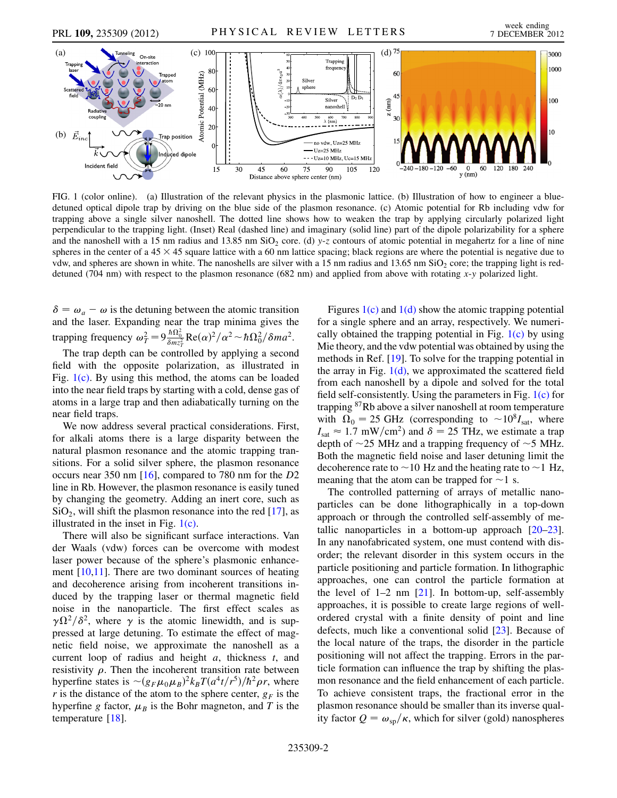

<span id="page-1-0"></span>FIG. 1 (color online). (a) Illustration of the relevant physics in the plasmonic lattice. (b) Illustration of how to engineer a bluedetuned optical dipole trap by driving on the blue side of the plasmon resonance. (c) Atomic potential for Rb including vdw for trapping above a single silver nanoshell. The dotted line shows how to weaken the trap by applying circularly polarized light perpendicular to the trapping light. (Inset) Real (dashed line) and imaginary (solid line) part of the dipole polarizability for a sphere and the nanoshell with a 15 nm radius and 13.85 nm SiO<sub>2</sub> core. (d) y-z contours of atomic potential in megahertz for a line of nine spheres in the center of a  $45 \times 45$  square lattice with a 60 nm lattice spacing; black regions are where the potential is negative due to vdw, and spheres are shown in white. The nanoshells are silver with a 15 nm radius and  $13.65$  nm SiO<sub>2</sub> core; the trapping light is reddetuned (704 nm) with respect to the plasmon resonance (682 nm) and applied from above with rotating x-y polarized light.

 $\delta = \omega_a - \omega$  is the detuning between the atomic transition and the laser. Expanding near the trap minima gives the trapping frequency  $\omega_T^2 = 9 \frac{\hbar \Omega_0^2}{\delta m z_T^2} Re(\alpha)^2 / \alpha^2 \sim \hbar \Omega_0^2 / \delta m a^2$ .

The trap depth can be controlled by applying a second field with the opposite polarization, as illustrated in Fig.  $1(c)$ . By using this method, the atoms can be loaded into the near field traps by starting with a cold, dense gas of atoms in a large trap and then adiabatically turning on the near field traps.

We now address several practical considerations. First, for alkali atoms there is a large disparity between the natural plasmon resonance and the atomic trapping transitions. For a solid silver sphere, the plasmon resonance occurs near 350 nm [\[16\]](#page-4-13), compared to 780 nm for the D2 line in Rb. However, the plasmon resonance is easily tuned by changing the geometry. Adding an inert core, such as  $SiO<sub>2</sub>$ , will shift the plasmon resonance into the red [\[17\]](#page-4-14), as illustrated in the inset in Fig. [1\(c\).](#page-1-0)

There will also be significant surface interactions. Van der Waals (vdw) forces can be overcome with modest laser power because of the sphere's plasmonic enhancement [[10](#page-4-7),[11](#page-4-8)]. There are two dominant sources of heating and decoherence arising from incoherent transitions induced by the trapping laser or thermal magnetic field noise in the nanoparticle. The first effect scales as  $\gamma \Omega^2/\delta^2$ , where  $\gamma$  is the atomic linewidth, and is suppressed at large detuning. To estimate the effect of magnetic field noise, we approximate the nanoshell as a current loop of radius and height  $a$ , thickness  $t$ , and resistivity  $\rho$ . Then the incoherent transition rate between hyperfine states is  $\sim (g_F \mu_0 \mu_B)^2 k_B T (a^4 t / r^5) / \hbar^2 \rho r$ , where r is the distance of the atom to the sphere center  $g_B$  is the r is the distance of the atom to the sphere center,  $g_F$  is the hyperfine g factor,  $\mu_B$  is the Bohr magneton, and T is the temperature [\[18\]](#page-4-15).

Figures  $1(c)$  and  $1(d)$  show the atomic trapping potential for a single sphere and an array, respectively. We numerically obtained the trapping potential in Fig.  $1(c)$  by using Mie theory, and the vdw potential was obtained by using the methods in Ref. [[19](#page-4-16)]. To solve for the trapping potential in the array in Fig.  $1(d)$ , we approximated the scattered field from each nanoshell by a dipole and solved for the total field self-consistently. Using the parameters in Fig.  $1(c)$  for trapping 87Rb above a silver nanoshell at room temperature with  $\overline{\Omega}_0 = 25$  GHz (corresponding to  $\sim 10^8 I_{\text{sat}}$ , where  $I_{\text{sat}} \approx 1.7 \text{ mW/cm}^2$ ) and  $\delta = 25 \text{ THz}$  we estimate a tran  $I_{\text{sat}} \approx 1.7 \text{ mW/cm}^2$  and  $\delta = 25 \text{ THz}$ , we estimate a trap depth of  $\sim$  25 MHz and a trapping frequency of  $\sim$  5 MHz.<br>Both the magnetic field noise and laser detuning limit the Both the magnetic field noise and laser detuning limit the decoherence rate to  $\sim$  10 Hz and the heating rate to  $\sim$  1 Hz,<br>meaning that the atom can be tranned for  $\sim$  1 s meaning that the atom can be trapped for  $\sim$  1 s.<br>The controlled natterning of arrays of meta

The controlled patterning of arrays of metallic nanoparticles can be done lithographically in a top-down approach or through the controlled self-assembly of metallic nanoparticles in a bottom-up approach  $[20-23]$  $[20-23]$  $[20-23]$  $[20-23]$ . In any nanofabricated system, one must contend with disorder; the relevant disorder in this system occurs in the particle positioning and particle formation. In lithographic approaches, one can control the particle formation at the level of  $1-2$  nm  $[21]$ . In bottom-up, self-assembly approaches, it is possible to create large regions of wellordered crystal with a finite density of point and line defects, much like a conventional solid [\[23\]](#page-4-18). Because of the local nature of the traps, the disorder in the particle positioning will not affect the trapping. Errors in the particle formation can influence the trap by shifting the plasmon resonance and the field enhancement of each particle. To achieve consistent traps, the fractional error in the plasmon resonance should be smaller than its inverse quality factor  $Q = \omega_{\rm SD}/\kappa$ , which for silver (gold) nanospheres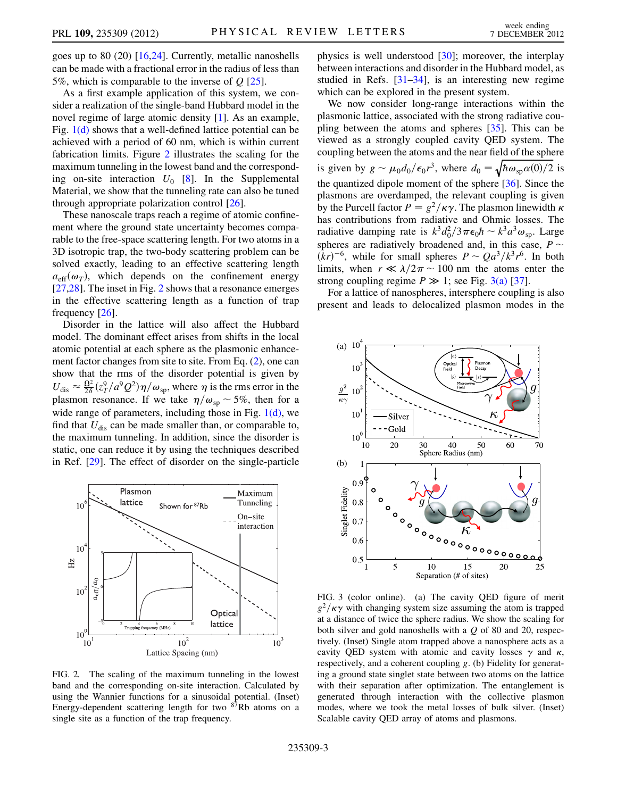goes up to 80 (20) [\[16](#page-4-13)[,24\]](#page-4-20). Currently, metallic nanoshells can be made with a fractional error in the radius of less than 5%, which is comparable to the inverse of  $Q$  [\[25\]](#page-4-21).

As a first example application of this system, we consider a realization of the single-band Hubbard model in the novel regime of large atomic density [\[1](#page-4-0)]. As an example, Fig. [1\(d\)](#page-1-0) shows that a well-defined lattice potential can be achieved with a period of 60 nm, which is within current fabrication limits. Figure [2](#page-2-0) illustrates the scaling for the maximum tunneling in the lowest band and the corresponding on-site interaction  $U_0$  [\[8](#page-4-5)]. In the Supplemental Material, we show that the tunneling rate can also be tuned through appropriate polarization control [[26](#page-4-22)].

These nanoscale traps reach a regime of atomic confinement where the ground state uncertainty becomes comparable to the free-space scattering length. For two atoms in a 3D isotropic trap, the two-body scattering problem can be solved exactly, leading to an effective scattering length  $a_{\text{eff}}(\omega_T)$ , which depends on the confinement energy [\[27](#page-4-23)[,28\]](#page-4-24). The inset in Fig. [2](#page-2-0) shows that a resonance emerges in the effective scattering length as a function of trap frequency [\[26\]](#page-4-22).

Disorder in the lattice will also affect the Hubbard model. The dominant effect arises from shifts in the local atomic potential at each sphere as the plasmonic enhancement factor changes from site to site. From Eq. ([2\)](#page-0-0), one can show that the rms of the disorder potential is given by  $U_{\text{dis}} \approx \frac{\Omega^2}{2\delta} (z_T^9/a^9 Q^2) \eta/\omega_{\text{sp}}$ , where  $\eta$  is the rms error in the plasmon reconnect If we take  $\eta/\omega_{\text{sp}} \approx 5\%$  then for a plasmon resonance. If we take  $\eta/\omega_{\rm sp} \sim 5\%$ , then for a wide range of parameters including those in Fig. 1(d), we wide range of parameters, including those in Fig.  $1(d)$ , we find that  $U_{\text{dis}}$  can be made smaller than, or comparable to, the maximum tunneling. In addition, since the disorder is static, one can reduce it by using the techniques described in Ref. [[29](#page-4-25)]. The effect of disorder on the single-particle

<span id="page-2-0"></span>

FIG. 2. The scaling of the maximum tunneling in the lowest band and the corresponding on-site interaction. Calculated by using the Wannier functions for a sinusoidal potential. (Inset) Energy-dependent scattering length for two  $87Rb$  atoms on a single site as a function of the trap frequency.

physics is well understood [\[30\]](#page-4-26); moreover, the interplay between interactions and disorder in the Hubbard model, as studied in Refs.  $[31-34]$  $[31-34]$  $[31-34]$ , is an interesting new regime which can be explored in the present system.

We now consider long-range interactions within the plasmonic lattice, associated with the strong radiative coupling between the atoms and spheres [[35](#page-4-29)]. This can be viewed as a strongly coupled cavity QED system. The coupling between the atoms and the near field of the sphere is given by  $g \sim \mu_0 d_0 / \epsilon_0 r^3$ , where  $d_0 = \sqrt{\hbar \omega_{\rm sp} \alpha(0)/2}$  is the quantized dipole moment of the sphere [[36](#page-4-30)]. Since the plasmons are overdamped, the relevant coupling is given by the Purcell factor  $P = g^2/\kappa \gamma$ . The plasmon linewidth  $\kappa$ has contributions from radiative and Ohmic losses. The radiative damping rate is  $k^3 d_0^2 / 3 \pi \epsilon_0 \hbar \sim k^3 a^3 \omega_{\rm sp}$ . Large<br>spheres are radiatively broadened and in this case,  $R \approx$ spheres are radiatively broadened and, in this case,  $P \sim (kr)^{-6}$  while for small spheres  $P \sim Qa^3/k^3r^6$  In both  $(kr)^{-6}$ , while for small spheres  $P \sim Q a^3 / k^3 r^6$ . In both limits, when  $r \ll \lambda / 2\pi \sim 100$  nm the atoms enter the limits, when  $r \ll \lambda/2\pi \sim 100$  nm the atoms enter the strong coupling regime  $P \gg 1$ ; see Fig. 3(a) [37] strong coupling regime  $P \gg 1$ ; see Fig. [3\(a\)](#page-2-1) [\[37\]](#page-4-31).<br>For a lattice of nanospheres intersphere coupling

For a lattice of nanospheres, intersphere coupling is also present and leads to delocalized plasmon modes in the



<span id="page-2-1"></span>FIG. 3 (color online). (a) The cavity QED figure of merit  $g^2/\kappa\gamma$  with changing system size assuming the atom is trapped at a distance of twice the sphere radius. We show the scaling for both silver and gold nanoshells with a Q of 80 and 20, respectively. (Inset) Single atom trapped above a nanosphere acts as a cavity QED system with atomic and cavity losses  $\gamma$  and  $\kappa$ , respectively, and a coherent coupling g. (b) Fidelity for generating a ground state singlet state between two atoms on the lattice with their separation after optimization. The entanglement is generated through interaction with the collective plasmon modes, where we took the metal losses of bulk silver. (Inset) Scalable cavity QED array of atoms and plasmons.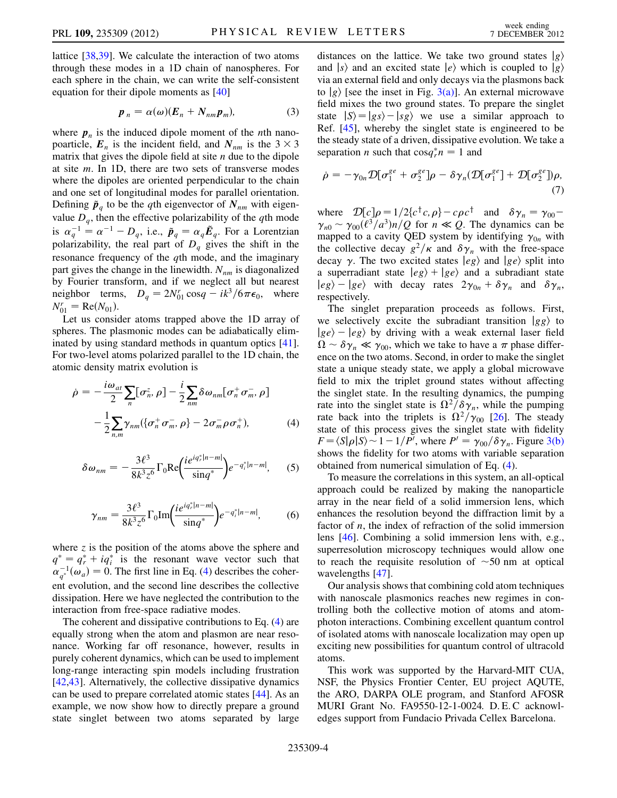lattice [[38](#page-4-32),[39](#page-4-33)]. We calculate the interaction of two atoms through these modes in a 1D chain of nanospheres. For each sphere in the chain, we can write the self-consistent equation for their dipole moments as [[40](#page-4-34)]

$$
p_n = \alpha(\omega)(E_n + N_{nm}p_m), \qquad (3)
$$

where  $p_n$  is the induced dipole moment of the *n*th nanopoarticle,  $E_n$  is the incident field, and  $N_{nm}$  is the  $3 \times 3$ matrix that gives the dipole field at site  $n$  due to the dipole at site  $m$ . In 1D, there are two sets of transverse modes where the dipoles are oriented perpendicular to the chain and one set of longitudinal modes for parallel orientation. Defining  $\tilde{p}_q$  to be the qth eigenvector of  $N_{nm}$  with eigenvalue  $D_q$ , then the effective polarizability of the qth mode is  $\alpha_q^{-1} = \alpha^{-1} - D_q$ , i.e.,  $\tilde{p}_q = \alpha_q \tilde{E}_q$ . For a Lorentzian polarizability, the real part of D, gives the shift in the polarizability, the real part of  $D_q$  gives the shift in the resonance frequency of the *q*th mode, and the imaginary part gives the change in the linewidth.  $N_{nm}$  is diagonalized by Fourier transform, and if we neglect all but nearest neighbor terms,  $D_q = 2N_{01}^r \cos q - ik^3/6\pi\epsilon_0$ , where  $N_{01}^r = \text{Re}(N_{01}).$ <br>Let us consider

Let us consider atoms trapped above the 1D array of spheres. The plasmonic modes can be adiabatically eliminated by using standard methods in quantum optics [\[41\]](#page-4-35). For two-level atoms polarized parallel to the 1D chain, the atomic density matrix evolution is

$$
\dot{\rho} = -\frac{i\omega_{at}}{2} \sum_{n} [\sigma_n^z, \rho] - \frac{i}{2} \sum_{nm} \delta \omega_{nm} [\sigma_n^+ \sigma_m^-, \rho]
$$

$$
-\frac{1}{2} \sum_{n,m} \gamma_{nm} (\{\sigma_n^+ \sigma_m^-, \rho\} - 2 \sigma_m^- \rho \sigma_n^+), \qquad (4)
$$

$$
\delta \omega_{nm} = -\frac{3\ell^3}{8k^3 z^6} \Gamma_0 \text{Re}\left(\frac{i e^{iq_r^*|n-m|}}{\sin q^*}\right) e^{-q_i^*|n-m|}, \qquad (5)
$$

$$
\gamma_{nm} = \frac{3\ell^3}{8k^3 z^6} \Gamma_0 \text{Im} \left( \frac{i e^{iq_r^* |n-m|}}{\sin q^*} \right) e^{-q_i^* |n-m|},\tag{6}
$$

<span id="page-3-0"></span>where  $\zeta$  is the position of the atoms above the sphere and  $q^* = q_r^* + iq_i^*$  is the resonant wave vector such that  $\alpha^{-1}(\alpha) = 0$  The first line in Eq. (4) describes the coher- $\alpha_{q^*}^{-1}(\omega_a) = 0$ . The first line in Eq. ([4\)](#page-3-0) describes the coherent evolution, and the second line describes the collective dissipation. Here we have neglected the contribution to the interaction from free-space radiative modes.

The coherent and dissipative contributions to Eq. [\(4](#page-3-0)) are equally strong when the atom and plasmon are near resonance. Working far off resonance, however, results in purely coherent dynamics, which can be used to implement long-range interacting spin models including frustration [\[42](#page-4-36)[,43\]](#page-4-37). Alternatively, the collective dissipative dynamics can be used to prepare correlated atomic states [[44](#page-4-38)]. As an example, we now show how to directly prepare a ground state singlet between two atoms separated by large distances on the lattice. We take two ground states  $|g\rangle$ and  $|s\rangle$  and an excited state  $|e\rangle$  which is coupled to  $|g\rangle$ via an external field and only decays via the plasmons back to  $|g\rangle$  [see the inset in Fig. [3\(a\)\]](#page-2-1). An external microwave field mixes the two ground states. To prepare the singlet state  $|S\rangle = |gs\rangle - |sg\rangle$  we use a similar approach to Ref. [[45](#page-4-39)], whereby the singlet state is engineered to be the steady state of a driven, dissipative evolution. We take a separation *n* such that  $\cos q_r^* n = 1$  and

$$
\dot{\rho} = -\gamma_{0n} \mathcal{D}[\sigma_1^{ge} + \sigma_2^{ge}] \rho - \delta \gamma_n (\mathcal{D}[\sigma_1^{ge}] + \mathcal{D}[\sigma_2^{ge}]) \rho, \tag{7}
$$

where  $\mathcal{D}[c]\rho = 1/2\{c^{\dagger}c,\rho\} - c\rho c^{\dagger}$  and  $\delta \gamma_n = \gamma_{00} - c^{\dagger}$  $\gamma_{n0} \sim \gamma_{00} (\ell^3/a^3) n/Q$  for  $n \ll Q$ . The dynamics can be manned to a cavity OFD system by identifying  $\gamma_0$ , with mapped to a cavity QED system by identifying  $\gamma_{0n}$  with the collective decay  $g^2/\kappa$  and  $\delta \gamma_n$  with the free-space decay  $\gamma$ . The two excited states  $|eg\rangle$  and  $|ge\rangle$  split into a superradiant state  $|eg\rangle + |ge\rangle$  and a subradiant state  $|eg\rangle - |ge\rangle$  with decay rates  $2\gamma_{0n} + \delta\gamma_n$  and  $\delta\gamma_n$ , respectively.

The singlet preparation proceeds as follows. First, we selectively excite the subradiant transition  $|gg\rangle$  to  $|ge\rangle - |eg\rangle$  by driving with a weak external laser field  $\Omega \sim \delta \gamma_n \ll \gamma_{00}$ , which we take to have a  $\pi$  phase differ-<br>ence on the two atoms. Second, in order to make the singlet ence on the two atoms. Second, in order to make the singlet state a unique steady state, we apply a global microwave field to mix the triplet ground states without affecting the singlet state. In the resulting dynamics, the pumping rate into the singlet state is  $\Omega^2/\delta\gamma_n$ , while the pumping rate back into the triplets is  $\Omega^2/\gamma_{00}$  [[26](#page-4-22)]. The steady state of this process gives the singlet state with fidelity  $F = \langle S | \rho | S \rangle \sim 1 - 1/P'$ , where  $P' = \gamma_{00} / \delta \gamma_n$ . Figure [3\(b\)](#page-2-1)<br>shows the fidelity for two atoms with variable separation shows the fidelity for two atoms with variable separation obtained from numerical simulation of Eq. [\(4\)](#page-3-0).

To measure the correlations in this system, an all-optical approach could be realized by making the nanoparticle array in the near field of a solid immersion lens, which enhances the resolution beyond the diffraction limit by a factor of  $n$ , the index of refraction of the solid immersion lens [[46](#page-4-40)]. Combining a solid immersion lens with, e.g., superresolution microscopy techniques would allow one to reach the requisite resolution of  $\sim$  50 nm at optical<br>wavelengths [47] wavelengths [[47](#page-4-41)].

Our analysis shows that combining cold atom techniques with nanoscale plasmonics reaches new regimes in controlling both the collective motion of atoms and atomphoton interactions. Combining excellent quantum control of isolated atoms with nanoscale localization may open up exciting new possibilities for quantum control of ultracold atoms.

This work was supported by the Harvard-MIT CUA, NSF, the Physics Frontier Center, EU project AQUTE, the ARO, DARPA OLE program, and Stanford AFOSR MURI Grant No. FA9550-12-1-0024. D. E. C acknowledges support from Fundacio Privada Cellex Barcelona.